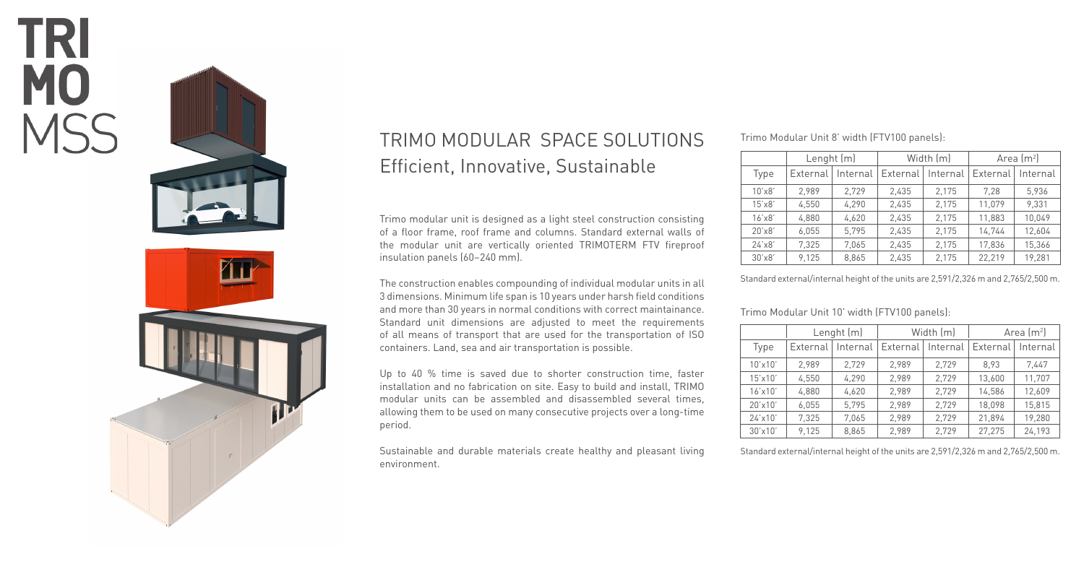



# TRIMO MODULAR SPACE SOLUTIONS Efficient, Innovative, Sustainable

Trimo modular unit is designed as a light steel construction consisting of a floor frame, roof frame and columns. Standard external walls of the modular unit are vertically oriented TRIMOTERM FTV fireproof insulation panels (60–240 mm).

The construction enables compounding of individual modular units in all 3 dimensions. Minimum life span is 10 years under harsh field conditions and more than 30 years in normal conditions with correct maintainance. Standard unit dimensions are adjusted to meet the requirements of all means of transport that are used for the transportation of ISO containers. Land, sea and air transportation is possible.

Up to 40 % time is saved due to shorter construction time, faster installation and no fabrication on site. Easy to build and install, TRIMO modular units can be assembled and disassembled several times, allowing them to be used on many consecutive projects over a long-time period.

Sustainable and durable materials create healthy and pleasant living environment.

#### Trimo Modular Unit 8' width (FTV100 panels):

|                     | Lenght (m) |          | Width [m] |          | Area $\rm [m^2]$ |          |  |  |  |
|---------------------|------------|----------|-----------|----------|------------------|----------|--|--|--|
| Type                | External   | Internal | External  | Internal | External         | Internal |  |  |  |
| $10'$ x $8'$        | 2.989      | 2,729    | 2,435     | 2,175    | 7.28             | 5,936    |  |  |  |
| 15'x8'              | 4,550      | 4,290    | 2,435     | 2,175    | 11.079           | 9,331    |  |  |  |
| 16'x8'              | 4.880      | 4,620    | 2.435     | 2,175    | 11,883           | 10,049   |  |  |  |
| 20'x8'              | 6,055      | 5,795    | 2,435     | 2,175    | 14,744           | 12,604   |  |  |  |
| 24'x8'              | 7,325      | 7,065    | 2,435     | 2,175    | 17,836           | 15,366   |  |  |  |
| $30'$ $\times$ $8'$ | 9,125      | 8,865    | 2,435     | 2,175    | 22.219           | 19,281   |  |  |  |

Standard external/internal height of the units are 2,591/2,326 m and 2,765/2,500 m.

Trimo Modular Unit 10' width (FTV100 panels):

|                  | Lenght (m) |          | Width [m] |          | Area $\rm [m^2]$ |          |
|------------------|------------|----------|-----------|----------|------------------|----------|
| Type             | External   | Internal | External  | Internal | External         | Internal |
| $10'$ x $10'$    | 2.989      | 2,729    | 2.989     | 2.729    | 8.93             | 7.447    |
| $15' \times 10'$ | 4.550      | 4,290    | 2.989     | 2.729    | 13,600           | 11.707   |
| $16'$ x $10'$    | 4,880      | 4,620    | 2.989     | 2,729    | 14,586           | 12.609   |
| $20'$ x 10'      | 6.055      | 5.795    | 2.989     | 2,729    | 18,098           | 15.815   |
| 24'x10'          | 7.325      | 7,065    | 2.989     | 2,729    | 21.894           | 19.280   |
| 30'x10'          | 9.125      | 8.865    | 2.989     | 2.729    | 27.275           | 24,193   |

Standard external/internal height of the units are 2,591/2,326 m and 2,765/2,500 m.